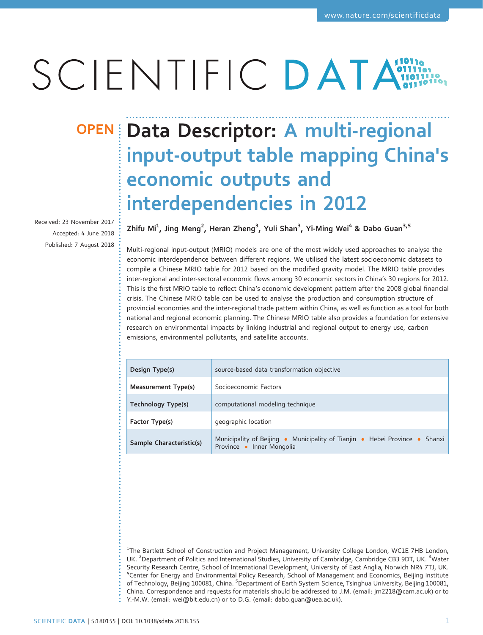# SCIENTIFIC DATA

Received: 23 November 2017 Accepted: 4 June 2018 Published: 7 August 2018

## OPEN Data Descriptor: A multi-regional input-output table mapping China's economic outputs and interdependencies in 2012

Zhifu Mi $^1$ , Jing Meng $^2$ , Heran Zheng $^3$ , Yuli Shan $^3$ , Yi-Ming Wei $^4$  & Dabo Guan $^{3,5}$ 

Multi-regional input-output (MRIO) models are one of the most widely used approaches to analyse the economic interdependence between different regions. We utilised the latest socioeconomic datasets to compile a Chinese MRIO table for 2012 based on the modified gravity model. The MRIO table provides inter-regional and inter-sectoral economic flows among 30 economic sectors in China's 30 regions for 2012. This is the first MRIO table to reflect China's economic development pattern after the 2008 global financial crisis. The Chinese MRIO table can be used to analyse the production and consumption structure of provincial economies and the inter-regional trade pattern within China, as well as function as a tool for both national and regional economic planning. The Chinese MRIO table also provides a foundation for extensive research on environmental impacts by linking industrial and regional output to energy use, carbon emissions, environmental pollutants, and satellite accounts.

| Design Type(s)           | source-based data transformation objective                                                               |
|--------------------------|----------------------------------------------------------------------------------------------------------|
| Measurement Type(s)      | Socioeconomic Factors                                                                                    |
| Technology Type(s)       | computational modeling technique                                                                         |
| Factor Type(s)           | geographic location                                                                                      |
| Sample Characteristic(s) | Municipality of Beijing • Municipality of Tianjin • Hebei Province • Shanxi<br>Province • Inner Mongolia |

<sup>1</sup>The Bartlett School of Construction and Project Management, University College London, WC1E 7HB London, UK. <sup>2</sup>Department of Politics and International Studies, University of Cambridge, Cambridge CB3 9DT, UK. <sup>3</sup>Water Security Research Centre, School of International Development, University of East Anglia, Norwich NR4 7TJ, UK. <sup>4</sup> Center for Energy and Environmental Policy Research, School of Management and Economics, Beijing Institute of Technology, Beijing 100081, China. <sup>5</sup>Department of Earth System Science, Tsinghua University, Beijing 100081, China. Correspondence and requests for materials should be addressed to J.M. (email: jm2218[@cam.ac.uk\)](mailto:jm2218@cam.ac.uk) or to Y.-M.W. (email: [wei@bit.edu.cn\)](mailto:wei@bit.edu.cn) or to D.G. (email: [dabo.guan@uea.ac.uk\)](mailto:dabo.guan@uea.ac.uk).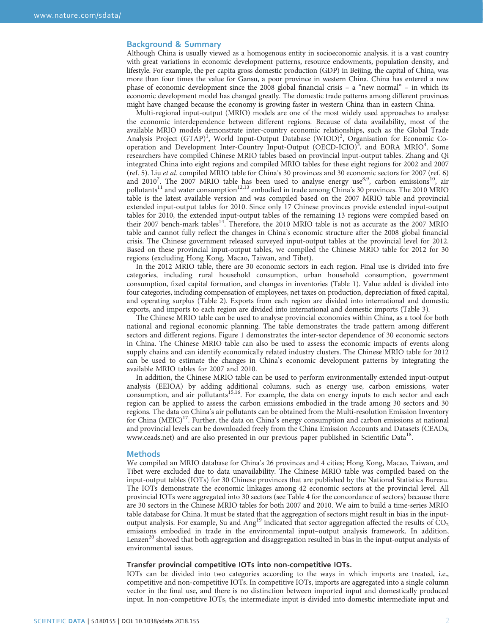#### Background & Summary

Although China is usually viewed as a homogenous entity in socioeconomic analysis, it is a vast country with great variations in economic development patterns, resource endowments, population density, and lifestyle. For example, the per capita gross domestic production (GDP) in Beijing, the capital of China, was more than four times the value for Gansu, a poor province in western China. China has entered a new phase of economic development since the 2008 global financial crisis – a "new normal" – in which its economic development model has changed greatly. The domestic trade patterns among different provinces might have changed because the economy is growing faster in western China than in eastern China.

Multi-regional input-output (MRIO) models are one of the most widely used approaches to analyse the economic interdependence between different regions. Because of data availability, most of the available MRIO models demonstrate inter-country economic relationships, such as the Global Trade Analysis Project (GTAP)<sup>[1](#page-10-0)</sup>, World Input-Output Database (WIOD)<sup>[2](#page-10-0)</sup>, Organisation for Economic Co-operation and Development Inter-Country Input-Output (OECD-ICIO)<sup>[3](#page-10-0)</sup>, and EORA MRIO<sup>[4](#page-10-0)</sup>. Some researchers have compiled Chinese MRIO tables based on provincial input-output tables. Zhang and Qi integrated China into eight regions and compiled MRIO tables for these eight regions for 2002 and 2007 (ref. [5\)](#page-10-0). Liu et al. compiled MRIO table for China's 30 provinces and 30 economic sectors for 2007 (ref. [6](#page-10-0)) and 2010<sup>7</sup>. The 20[07](#page-10-0) MRIO table has been used to analyse energy use<sup>[8](#page-10-0),[9](#page-10-0)</sup>, carbon emissions<sup>10</sup>, air pollutants<sup>[11](#page-10-0)</sup> and water consumption<sup>[12](#page-10-0),[13](#page-10-0)</sup> embodied in trade among China's 30 provinces. The 2010 MRIO table is the latest available version and was compiled based on the 2007 MRIO table and provincial extended input-output tables for 2010. Since only 17 Chinese provinces provide extended input-output tables for 2010, the extended input-output tables of the remaining 13 regions were compiled based on their 2007 bench-mark tables<sup>14</sup>. Therefore, the 2010 MRIO table is not as accurate as the 2007 MRIO table and cannot fully reflect the changes in China's economic structure after the 2008 global financial crisis. The Chinese government released surveyed input-output tables at the provincial level for 2012. Based on these provincial input-output tables, we compiled the Chinese MRIO table for 2012 for 30 regions (excluding Hong Kong, Macao, Taiwan, and Tibet).

In the 2012 MRIO table, there are 30 economic sectors in each region. Final use is divided into five categories, including rural household consumption, urban household consumption, government consumption, fixed capital formation, and changes in inventories ([Table 1](#page-2-0)). Value added is divided into four categories, including compensation of employees, net taxes on production, depreciation of fixed capital, and operating surplus ([Table 2](#page-3-0)). Exports from each region are divided into international and domestic exports, and imports to each region are divided into international and domestic imports ([Table 3](#page-4-0)).

The Chinese MRIO table can be used to analyse provincial economies within China, as a tool for both national and regional economic planning. The table demonstrates the trade pattern among different sectors and different regions. [Figure 1](#page-5-0) demonstrates the inter-sector dependence of 30 economic sectors in China. The Chinese MRIO table can also be used to assess the economic impacts of events along supply chains and can identify economically related industry clusters. The Chinese MRIO table for 2012 can be used to estimate the changes in China's economic development patterns by integrating the available MRIO tables for 2007 and 2010.

In addition, the Chinese MRIO table can be used to perform environmentally extended input-output analysis (EEIOA) by adding additional columns, such as energy use, carbon emissions, water consumption, and air pollutants<sup>[15,16](#page-10-0)</sup>. For example, the data on energy inputs to each sector and each region can be applied to assess the carbon emissions embodied in the trade among 30 sectors and 30 regions. The data on China's air pollutants can be obtained from the Multi-resolution Emission Inventory for China (MEIC)<sup>17</sup>. Further, the data on China's energy consumption and carbon emissions at national and provincial levels can be downloaded freely from the China Emission Accounts and Datasets (CEADs, [www.ceads.net\)](www.ceads.net) and are also presented in our previous paper published in Scientific Data<sup>18</sup>.

#### Methods

We compiled an MRIO database for China's 26 provinces and 4 cities; Hong Kong, Macao, Taiwan, and Tibet were excluded due to data unavailability. The Chinese MRIO table was compiled based on the input-output tables (IOTs) for 30 Chinese provinces that are published by the National Statistics Bureau. The IOTs demonstrate the economic linkages among 42 economic sectors at the provincial level. All provincial IOTs were aggregated into 30 sectors (see [Table 4](#page-6-0) for the concordance of sectors) because there are 30 sectors in the Chinese MRIO tables for both 2007 and 2010. We aim to build a time-series MRIO table database for China. It must be stated that the aggregation of sectors might result in bias in the input-output analysis. For example, Su and Ang<sup>[19](#page-10-0)</sup> indicated that sector aggregation affected the results of  $CO<sub>2</sub>$ emissions embodied in trade in the environmental input–output analysis framework. In addition, Lenzen<sup>[20](#page-11-0)</sup> showed that both aggregation and disaggregation resulted in bias in the input-output analysis of environmental issues.

#### Transfer provincial competitive IOTs into non-competitive IOTs.

IOTs can be divided into two categories according to the ways in which imports are treated, i.e., competitive and non-competitive IOTs. In competitive IOTs, imports are aggregated into a single column vector in the final use, and there is no distinction between imported input and domestically produced input. In non-competitive IOTs, the intermediate input is divided into domestic intermediate input and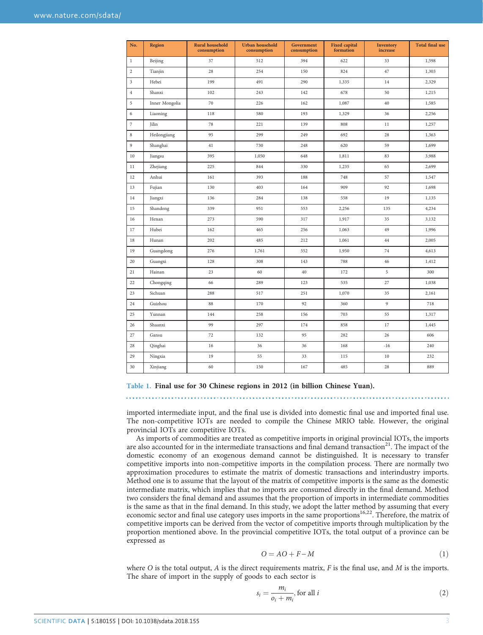<span id="page-2-0"></span>

| No.            | <b>Region</b>  | <b>Rural household</b><br>consumption | Urban household<br>consumption | Government<br>consumption | <b>Fixed capital</b><br>formation | Inventory<br>increase | <b>Total final use</b> |
|----------------|----------------|---------------------------------------|--------------------------------|---------------------------|-----------------------------------|-----------------------|------------------------|
| 1              | Beijing        | 37                                    | 512                            | 394                       | 622                               | 33                    | 1,598                  |
| $\overline{c}$ | Tianjin        | 28                                    | 254                            | 150                       | 824                               | 47                    | 1,303                  |
| 3              | Hebei          | 199                                   | 491                            | 290                       | 1,335                             | 14                    | 2,329                  |
| $\overline{4}$ | Shanxi         | 102                                   | 243                            | 142                       | 678                               | 50                    | 1,215                  |
| 5              | Inner Mongolia | 70                                    | 226                            | 162                       | 1,087                             | 40                    | 1,585                  |
| 6              | Liaoning       | 118                                   | 580                            | 193                       | 1,329                             | 36                    | 2,256                  |
| $\overline{7}$ | Jilin          | 78                                    | 221                            | 139                       | 808                               | 11                    | 1,257                  |
| 8              | Heilongjiang   | 95                                    | 299                            | 249                       | 692                               | 28                    | 1,363                  |
| 9              | Shanghai       | 41                                    | 730                            | 248                       | 620                               | 59                    | 1,699                  |
| 10             | Jiangsu        | 395                                   | 1,050                          | 648                       | 1,811                             | 83                    | 3,988                  |
| 11             | Zhejiang       | 225                                   | 844                            | 330                       | 1,235                             | 65                    | 2,699                  |
| 12             | Anhui          | 161                                   | 393                            | 188                       | 748                               | 57                    | 1,547                  |
| 13             | Fujian         | 130                                   | 403                            | 164                       | 909                               | 92                    | 1,698                  |
| 14             | Jiangxi        | 136                                   | 284                            | 138                       | 558                               | 19                    | 1,135                  |
| 15             | Shandong       | 339                                   | 951                            | 553                       | 2,256                             | 135                   | 4,234                  |
| 16             | Henan          | 273                                   | 590                            | 317                       | 1,917                             | 35                    | 3,132                  |
| 17             | Hubei          | 162                                   | 465                            | 256                       | 1,063                             | 49                    | 1,996                  |
| 18             | Hunan          | 202                                   | 485                            | 212                       | 1,061                             | 44                    | 2,005                  |
| 19             | Guangdong      | 276                                   | 1,761                          | 552                       | 1,950                             | 74                    | 4,613                  |
| 20             | Guangxi        | 128                                   | 308                            | 143                       | 788                               | 46                    | 1,412                  |
| 21             | Hainan         | 23                                    | 60                             | 40                        | 172                               | 5                     | 300                    |
| 22             | Chongqing      | 66                                    | 289                            | 123                       | 535                               | 27                    | 1,038                  |
| 23             | Sichuan        | 288                                   | 517                            | 251                       | 1,070                             | 35                    | 2,161                  |
| 24             | Guizhou        | 88                                    | 170                            | 92                        | 360                               | 9                     | 718                    |
| 25             | Yunnan         | 144                                   | 258                            | 156                       | 703                               | 55                    | 1,317                  |
| 26             | Shaanxi        | 99                                    | 297                            | 174                       | 858                               | 17                    | 1,445                  |
| 27             | Gansu          | 72                                    | 132                            | 95                        | 282                               | 26                    | 606                    |
| 28             | Qinghai        | 16                                    | 36                             | 36                        | 168                               | $-16$                 | 240                    |
| 29             | Ningxia        | 19                                    | 55                             | 33                        | 115                               | 10                    | 232                    |
| 30             | Xinjiang       | 60                                    | 150                            | 167                       | 485                               | 28                    | 889                    |

Table 1. Final use for 30 Chinese regions in 2012 (in billion Chinese Yuan).

imported intermediate input, and the final use is divided into domestic final use and imported final use. The non-competitive IOTs are needed to compile the Chinese MRIO table. However, the original provincial IOTs are competitive IOTs.

As imports of commodities are treated as competitive imports in original provincial IOTs, the imports are also accounted for in the intermediate transactions and final demand transaction $21$ . The impact of the domestic economy of an exogenous demand cannot be distinguished. It is necessary to transfer competitive imports into non-competitive imports in the compilation process. There are normally two approximation procedures to estimate the matrix of domestic transactions and interindustry imports. Method one is to assume that the layout of the matrix of competitive imports is the same as the domestic intermediate matrix, which implies that no imports are consumed directly in the final demand. Method two considers the final demand and assumes that the proportion of imports in intermediate commodities is the same as that in the final demand. In this study, we adopt the latter method by assuming that every economic sector and final use category uses imports in the same proportions $16,22$  $16,22$ . Therefore, the matrix of competitive imports can be derived from the vector of competitive imports through multiplication by the proportion mentioned above. In the provincial competitive IOTs, the total output of a province can be expressed as

$$
O = AO + F - M \tag{1}
$$

where O is the total output, A is the direct requirements matrix,  $F$  is the final use, and  $M$  is the imports. The share of import in the supply of goods to each sector is

$$
s_i = \frac{m_i}{o_i + m_i}, \text{for all } i \tag{2}
$$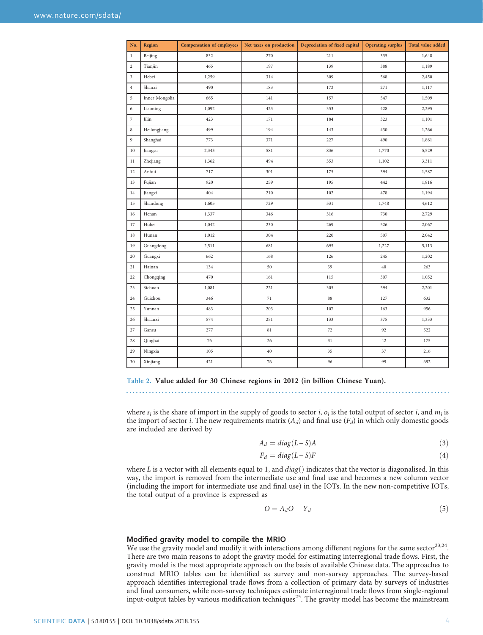<span id="page-3-0"></span>

| No.            | Region         | <b>Compensation of employees</b> | Net taxes on production | Depreciation of fixed capital | <b>Operating surplus</b> | Total value added |
|----------------|----------------|----------------------------------|-------------------------|-------------------------------|--------------------------|-------------------|
| $\,1$          | Beijing        | 832                              | 270                     | 211                           | 335                      | 1,648             |
| $\,2$          | Tianjin        | 465                              | 197                     | 139                           | 388                      | 1,189             |
| $\mathfrak z$  | Hebei          | 1,259                            | 314                     | 309                           | 568                      | 2,450             |
| $\overline{4}$ | Shanxi         | 490                              | 183                     | 172                           | 271                      | 1,117             |
| 5              | Inner Mongolia | 665                              | 141                     | 157                           | 547                      | 1,509             |
| 6              | Liaoning       | 1,092                            | 423                     | 353                           | 428                      | 2,295             |
| 7              | Jilin          | 423                              | 171                     | 184                           | 323                      | 1,101             |
| $\,$ 8 $\,$    | Heilongjiang   | 499                              | 194                     | 143                           | 430                      | 1,266             |
| 9              | Shanghai       | 773                              | 371                     | 227                           | 490                      | 1,861             |
| 10             | Jiangsu        | 2,343                            | 581                     | 836                           | 1,770                    | 5,529             |
| 11             | Zhejiang       | 1,362                            | 494                     | 353                           | 1,102                    | 3,311             |
| 12             | Anhui          | 717                              | 301                     | 175                           | 394                      | 1,587             |
| 13             | Fujian         | 920                              | 259                     | 195                           | 442                      | 1,816             |
| 14             | Jiangxi        | 404                              | 210                     | 102                           | 478                      | 1,194             |
| 15             | Shandong       | 1,605                            | 729                     | 531                           | 1,748                    | 4,612             |
| 16             | Henan          | 1,337                            | 346                     | 316                           | 730                      | 2,729             |
| 17             | Hubei          | 1,042                            | 230                     | 269                           | 526                      | 2,067             |
| 18             | Hunan          | 1,012                            | 304                     | 220                           | 507                      | 2,042             |
| 19             | Guangdong      | 2,511                            | 681                     | 695                           | 1,227                    | 5,113             |
| 20             | Guangxi        | 662                              | 168                     | 126                           | 245                      | 1,202             |
| 21             | Hainan         | 134                              | 50                      | 39                            | 40                       | 263               |
| 22             | Chongqing      | 470                              | 161                     | 115                           | 307                      | 1,052             |
| 23             | Sichuan        | 1,081                            | 221                     | 305                           | 594                      | 2,201             |
| 24             | Guizhou        | 346                              | 71                      | 88                            | 127                      | 632               |
| 25             | Yunnan         | 483                              | 203                     | 107                           | 163                      | 956               |
| 26             | Shaanxi        | 574                              | 251                     | 133                           | 375                      | 1,333             |
| 27             | Gansu          | 277                              | 81                      | $72\,$                        | 92                       | 522               |
| 28             | Qinghai        | 76                               | 26                      | 31                            | 42                       | 175               |
| 29             | Ningxia        | 105                              | 40                      | 35                            | 37                       | 216               |
| 30             | Xinjiang       | 421                              | 76                      | 96                            | 99                       | 692               |

Table 2. Value added for 30 Chinese regions in 2012 (in billion Chinese Yuan). 

where  $s_i$  is the share of import in the supply of goods to sector i,  $o_i$  is the total output of sector i, and  $m_i$  is the import of sector *i*. The new requirements matrix  $(A_d)$  and final use  $(F_d)$  in which only domestic goods are included are derived by

$$
A_d = diag(L-S)A
$$
\n(3)

$$
F_d = diag(L-S)F
$$
\n(4)

where L is a vector with all elements equal to 1, and  $diag()$  indicates that the vector is diagonalised. In this way, the import is removed from the intermediate use and final use and becomes a new column vector (including the import for intermediate use and final use) in the IOTs. In the new non-competitive IOTs, the total output of a province is expressed as

$$
O = A_d O + Y_d \tag{5}
$$

#### Modified gravity model to compile the MRIO

We use the gravity model and modify it with interactions among different regions for the same sector<sup>23,24</sup>. There are two main reasons to adopt the gravity model for estimating interregional trade flows. First, the gravity model is the most appropriate approach on the basis of available Chinese data. The approaches to construct MRIO tables can be identified as survey and non-survey approaches. The survey-based approach identifies interregional trade flows from a collection of primary data by surveys of industries and final consumers, while non-survey techniques estimate interregional trade flows from single-regional input-output tables by various modification techniques<sup>[25](#page-11-0)</sup>. The gravity model has become the mainstream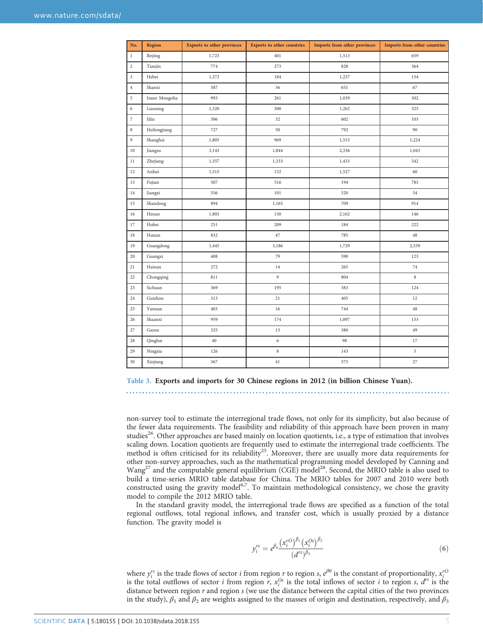<span id="page-4-0"></span>

| No.              | Region         | <b>Exports to other provinces</b> | <b>Exports to other countries</b> | Imports from other provinces | Imports from other countries |  |
|------------------|----------------|-----------------------------------|-----------------------------------|------------------------------|------------------------------|--|
| $\,1$            | Beijing        | 1,723                             | 401                               | 1,513                        | 659                          |  |
| $\mathbf{2}$     | Tianjin        | 774                               | 273                               | 828                          | 364                          |  |
| 3                | Hebei          | 1,372                             | 184                               | 1,237                        | 154                          |  |
| $\overline{4}$   | Shanxi         | 587                               | 36                                | 651                          | 67                           |  |
| 5                | Inner Mongolia | 993                               | 261                               | 1,039                        | 302                          |  |
| 6                | Liaoning       | 1,320                             | 300                               | 1,262                        | 325                          |  |
| $\boldsymbol{7}$ | Jilin          | 506                               | 32                                | 602                          | 103                          |  |
| $\,$ 8 $\,$      | Heilongjiang   | 727                               | 50                                | 792                          | 90                           |  |
| 9                | Shanghai       | 1,805                             | 969                               | 1,515                        | 1,224                        |  |
| 10               | Jiangsu        | 3,143                             | 1,844                             | 2,336                        | 1,043                        |  |
| 11               | Zhejiang       | 1,357                             | 1,333                             | 1,433                        | 542                          |  |
| 12               | Anhui          | 1,515                             | 132                               | 1,527                        | 60                           |  |
| 13               | Fujian         | 507                               | 516                               | 194                          | 783                          |  |
| 14               | Jiangxi        | 556                               | $101\,$                           | 520                          | 54                           |  |
| 15               | Shandong       | 894                               | 1,165                             | 709                          | 914                          |  |
| 16               | Henan          | 1,803                             | 130                               | 2,162                        | 146                          |  |
| 17               | Hubei          | 251                               | 209                               | 184                          | 222                          |  |
| 18               | Hunan          | 832                               | 47                                | 785                          | 48                           |  |
| 19               | Guangdong      | 1,445                             | 3,186                             | 1,729                        | 2,539                        |  |
| 20               | Guangxi        | 408                               | 79                                | 590                          | 123                          |  |
| 21               | Hainan         | 272                               | $14\,$                            | 265                          | $74\,$                       |  |
| 22               | Chongqing      | 811                               | $\overline{9}$                    | 804                          | $\,$ 8 $\,$                  |  |
| 23               | Sichuan        | 369                               | 195                               | 383                          | 124                          |  |
| 24               | Guizhou        | 313                               | 21                                | 405                          | 12                           |  |
| 25               | Yunnan         | 403                               | 16                                | 744                          | 48                           |  |
| 26               | Shaanxi        | 959                               | 174                               | 1,097                        | 153                          |  |
| 27               | Gansu          | 325                               | $13\,$                            | 380                          | 49                           |  |
| 28               | Qinghai        | 40                                | $\,$ 6 $\,$                       | 98                           | 17                           |  |
| 29               | Ningxia        | 126                               | $\,8\,$                           | 143                          | 5                            |  |
| 30               | Xinjiang       | 367                               | 41                                | 575                          | 27                           |  |

Table 3. Exports and imports for 30 Chinese regions in 2012 (in billion Chinese Yuan).

non-survey tool to estimate the interregional trade flows, not only for its simplicity, but also because of the fewer data requirements. The feasibility and reliability of this approach have been proven in many studies<sup>[26](#page-11-0)</sup>. Other approaches are based mainly on location quotients, i.e., a type of estimation that involves

scaling down. Location quotients are frequently used to estimate the interregional trade coefficients. The method is often criticised for its reliability<sup>25</sup>. Moreover, there are usually more data requirements for other non-survey approaches, such as the mathematical programming model developed by Canning and Wang<sup>[27](#page-11-0)</sup> and the computable general equilibrium (CGE) model<sup>[28](#page-11-0)</sup>. Second, the MRIO table is also used to build a time-series MRIO table database for China. The MRIO tables for 2007 and 2010 were both constructed using the gravity model<sup>[6](#page-10-0),7</sup>. To maintain methodological consistency, we chose the gravity model to compile the 2012 MRIO table.

In the standard gravity model, the interregional trade flows are specified as a function of the total regional outflows, total regional inflows, and transfer cost, which is usually proxied by a distance function. The gravity model is

$$
y_i^{rs} = e^{\beta_0} \frac{(x_i^{rO})^{\beta_1} (x_i^{Os})^{\beta_2}}{(d^{rs})^{\beta_3}}
$$
(6)

where  $y_i^{rs}$  is the trade flows of sector *i* from region *r* to region *s*,  $e^{j\theta}$  is the constant of proportionality,  $x_i^{r\theta}$ is the total outflows of sector *i* from region r,  $x_i^{Os}$  is the total inflows of sector *i* to region *s*,  $d^{rs}$  is the distance between region  $r$  and region  $s$  (we use the distance between the capital cities of the two provinces in the study),  $\beta_1$  and  $\beta_2$  are weights assigned to the masses of origin and destination, respectively, and  $\beta_3$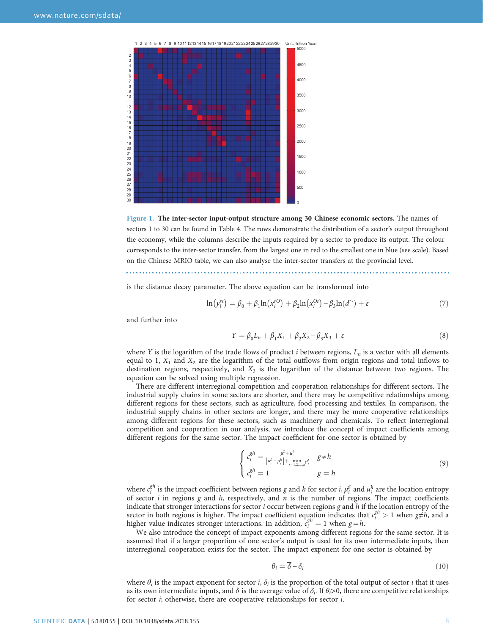<span id="page-5-0"></span>



is the distance decay parameter. The above equation can be transformed into

$$
\ln(y_i^{rs}) = \beta_0 + \beta_1 \ln(x_i^{rO}) + \beta_2 \ln(x_i^{Os}) - \beta_3 \ln(d^{rs}) + \varepsilon \tag{7}
$$

and further into

$$
Y = \beta_0 L_n + \beta_1 X_1 + \beta_2 X_2 - \beta_3 X_3 + \varepsilon
$$
\n(8)

where Y is the logarithm of the trade flows of product i between regions,  $L_n$  is a vector with all elements equal to 1,  $X_1$  and  $X_2$  are the logarithm of the total outflows from origin regions and total inflows to destination regions, respectively, and  $X_3$  is the logarithm of the distance between two regions. The equation can be solved using multiple regression.

There are different interregional competition and cooperation relationships for different sectors. The industrial supply chains in some sectors are shorter, and there may be competitive relationships among different regions for these sectors, such as agriculture, food processing and textiles. In comparison, the industrial supply chains in other sectors are longer, and there may be more cooperative relationships among different regions for these sectors, such as machinery and chemicals. To reflect interregional competition and cooperation in our analysis, we introduce the concept of impact coefficients among different regions for the same sector. The impact coefficient for one sector is obtained by

$$
\begin{cases} c_i^{gh} = \frac{\mu_i^g + \mu_i^h}{|\mu_i^g - \mu_i^h| + \min_{r=1,2,\dots,n} \mu_i^r} & g \neq h \\ c_i^{gh} = 1 & g = h \end{cases}
$$
 (9)

where  $c_i^{gh}$  is the impact coefficient between regions g and h for sector i,  $\mu_i^g$  and  $\mu_i^h$  are the location entropy of sector  $i$  in regions  $g$  and  $h$ , respectively, and  $n$  is the number of regions. The impact coefficients indicate that stronger interactions for sector  $i$  occur between regions  $g$  and  $h$  if the location entropy of the sector in both regions is higher. The impact coefficient equation indicates that  $c_i^{gh} > 1$  when  $g \neq h$ , and a higher value indicates stronger interactions. In addition,  $c_i^{gh} = 1$  when  $g = h$ .

We also introduce the concept of impact exponents among different regions for the same sector. It is assumed that if a larger proportion of one sector's output is used for its own intermediate inputs, then interregional cooperation exists for the sector. The impact exponent for one sector is obtained by

$$
\theta_i = \delta - \delta_i \tag{10}
$$

where  $\theta_i$  is the impact exponent for sector i,  $\delta_i$  is the proportion of the total output of sector i that it uses as its own intermediate inputs, and  $\delta$  is the average value of  $\delta_i$ . If  $\theta_i > 0$ , there are competitive relationships for sector i; otherwise, there are cooperative relationships for sector i.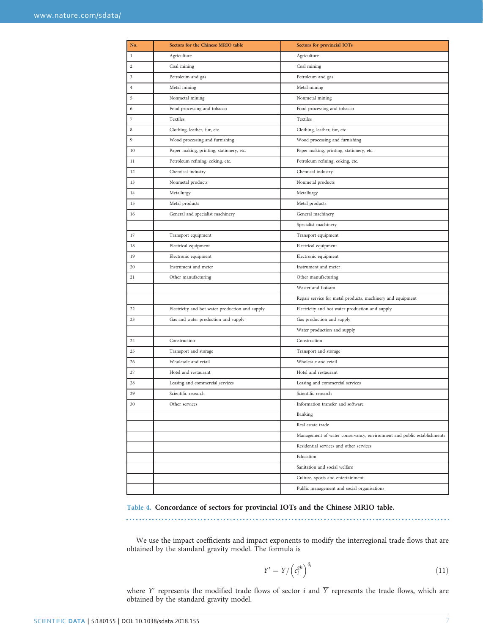<span id="page-6-0"></span>

| No.            | Sectors for the Chinese MRIO table              | <b>Sectors for provincial IOTs</b>                                     |
|----------------|-------------------------------------------------|------------------------------------------------------------------------|
| $\bf{l}$       | Agriculture                                     | Agriculture                                                            |
| $\overline{c}$ | Coal mining                                     | Coal mining                                                            |
| 3              | Petroleum and gas                               | Petroleum and gas                                                      |
| $\overline{4}$ | Metal mining                                    | Metal mining                                                           |
| 5              | Nonmetal mining                                 | Nonmetal mining                                                        |
| 6              | Food processing and tobacco                     | Food processing and tobacco                                            |
| 7              | Textiles                                        | Textiles                                                               |
| 8              | Clothing, leather, fur, etc.                    | Clothing, leather, fur, etc.                                           |
| 9              | Wood processing and furnishing                  | Wood processing and furnishing                                         |
| 10             | Paper making, printing, stationery, etc.        | Paper making, printing, stationery, etc.                               |
| 11             | Petroleum refining, coking, etc.                | Petroleum refining, coking, etc.                                       |
| 12             | Chemical industry                               | Chemical industry                                                      |
| 13             | Nonmetal products                               | Nonmetal products                                                      |
| 14             | Metallurgy                                      | Metallurgy                                                             |
| 15             | Metal products                                  | Metal products                                                         |
| 16             | General and specialist machinery                | General machinery                                                      |
|                |                                                 | Specialist machinery                                                   |
| 17             | Transport equipment                             | Transport equipment                                                    |
| 18             | Electrical equipment                            | Electrical equipment                                                   |
| 19             | Electronic equipment                            | Electronic equipment                                                   |
| 20             | Instrument and meter                            | Instrument and meter                                                   |
| 21             | Other manufacturing                             | Other manufacturing                                                    |
|                |                                                 | Waster and flotsam                                                     |
|                |                                                 | Repair service for metal products, machinery and equipment             |
| 22             | Electricity and hot water production and supply | Electricity and hot water production and supply                        |
| 23             | Gas and water production and supply             | Gas production and supply                                              |
|                |                                                 | Water production and supply                                            |
| 24             | Construction                                    | Construction                                                           |
| 25             | Transport and storage                           | Transport and storage                                                  |
| 26             | Wholesale and retail                            | Wholesale and retail                                                   |
| 27             | Hotel and restaurant                            | Hotel and restaurant                                                   |
| 28             | Leasing and commercial services                 | Leasing and commercial services                                        |
| 29             | Scientific research                             | Scientific research                                                    |
| 30             | Other services                                  | Information transfer and software                                      |
|                |                                                 | Banking                                                                |
|                |                                                 | Real estate trade                                                      |
|                |                                                 | Management of water conservancy, environment and public establishments |
|                |                                                 | Residential services and other services                                |
|                |                                                 | Education                                                              |
|                |                                                 | Sanitation and social welfare                                          |
|                |                                                 | Culture, sports and entertainment                                      |
|                |                                                 | Public management and social organisations                             |

Table 4. Concordance of sectors for provincial IOTs and the Chinese MRIO table.

. . . . . . . . . . . .

We use the impact coefficients and impact exponents to modify the interregional trade flows that are obtained by the standard gravity model. The formula is

$$
Y' = \overline{Y} / \left( c_i^{gh} \right)^{\theta_i} \tag{11}
$$

where Y' represents the modified trade flows of sector i and  $\overline{Y}$  represents the trade flows, which are obtained by the standard gravity model.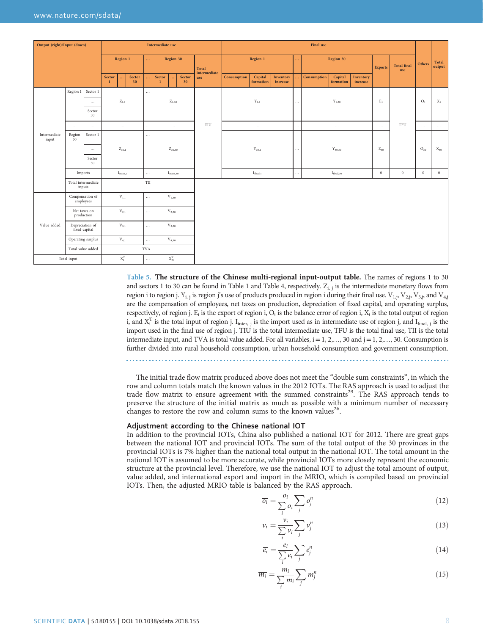<span id="page-7-0"></span>

| Output (right)/Input (down) |                              |                 |                        |                           |              | Intermediate use                                  |                                            |                                  |          | <b>Final</b> use |                      |                       |  |                |                           |                       |                        |             |              |                  |                |
|-----------------------------|------------------------------|-----------------|------------------------|---------------------------|--------------|---------------------------------------------------|--------------------------------------------|----------------------------------|----------|------------------|----------------------|-----------------------|--|----------------|---------------------------|-----------------------|------------------------|-------------|--------------|------------------|----------------|
|                             |                              |                 | Region 1               |                           |              | Region 30                                         |                                            | <b>Total</b><br>intermediate     | Region 1 |                  | Region 30<br>        |                       |  | <b>Exports</b> | <b>Total final</b><br>use | Others                | <b>Total</b><br>output |             |              |                  |                |
|                             |                              |                 | Sector<br>$\mathbf{1}$ |                           | Sector<br>30 |                                                   | Sector<br>Sector<br><br>30<br>$\mathbf{1}$ |                                  | use      | Consumption      | Capital<br>formation | Inventory<br>increase |  | Consumption    | Capital<br>formation      | Inventory<br>increase |                        |             |              |                  |                |
|                             | Region 1                     | Sector 1        |                        |                           |              | $\cdots$                                          |                                            |                                  |          |                  |                      |                       |  |                |                           |                       |                        |             |              |                  |                |
|                             |                              | $\ldots$        |                        | $Z_{1,1}$                 |              |                                                   |                                            | $Z_{1,30}$                       |          |                  |                      | $Y_{1,1}$             |  | $\cdots$       |                           | $Y_{1,30}$            |                        | $\rm E_{1}$ |              | O <sub>1</sub>   | $\mathbf{X}_1$ |
|                             |                              | Sector<br>30    |                        |                           |              |                                                   |                                            |                                  |          |                  |                      |                       |  |                |                           |                       |                        |             |              |                  |                |
|                             | $\ldots$                     | $\cdots$        |                        | $\ldots$                  |              | $\cdots$                                          |                                            | $\ldots$                         |          | TIU              |                      | $\ldots$              |  | $\cdots$       |                           | $\ldots$              |                        | $\ldots$    | TFU          | $\cdots$         | $\cdots$       |
| Intermediate<br>input       | Region<br>$\overline{3}0$    | Sector 1        |                        |                           |              | $\cdots$                                          |                                            |                                  |          |                  |                      |                       |  |                |                           |                       |                        |             |              |                  |                |
|                             |                              | $\cdots$        | $Z_{30,1}$             |                           |              | $Z_{30,30}$                                       |                                            |                                  |          | $Y_{30,1}$       |                      | $\cdots$              |  | $Y_{30,30}$    |                           | $E_{30}$              |                        | $O_{30}$    | $X_{30}$     |                  |                |
|                             |                              | Sector<br>30    |                        |                           |              |                                                   |                                            |                                  |          |                  |                      |                       |  |                |                           |                       |                        |             |              |                  |                |
|                             | Imports                      |                 |                        | $I_{inter,1}$             |              | $\ldots$                                          |                                            | $\mathrm{I}_{\mathrm{inter,30}}$ |          |                  |                      | $I_{final,1}$         |  | $\cdots$       |                           | $I_{final,30}$        |                        | $\,0\,$     | $\mathbf{0}$ | $\boldsymbol{0}$ | $\,0\,$        |
|                             | Total intermediate<br>inputs |                 |                        |                           |              | $\ensuremath{\mathsf{T}}\ensuremath{\mathsf{II}}$ |                                            |                                  |          |                  |                      |                       |  |                |                           |                       |                        |             |              |                  |                |
|                             | Compensation of<br>employees |                 |                        | $V_{1,1}$                 |              | $\cdots$                                          |                                            | $V_{1,30}$                       |          |                  |                      |                       |  |                |                           |                       |                        |             |              |                  |                |
|                             | Net taxes on<br>production   |                 | $V_{2,1}$              |                           |              | $\cdots$                                          |                                            | $V_{2,30}$                       |          |                  |                      |                       |  |                |                           |                       |                        |             |              |                  |                |
| Value added                 | fixed capital                | Depreciation of |                        | $V_{3,1}$                 |              | $\cdots$                                          |                                            | $V_{3,30}$                       |          |                  |                      |                       |  |                |                           |                       |                        |             |              |                  |                |
|                             | Operating surplus            |                 |                        | $V_{4,1}$                 |              | $\cdots$                                          |                                            | $V_{4,30}$                       |          |                  |                      |                       |  |                |                           |                       |                        |             |              |                  |                |
|                             |                              |                 |                        | <b>TVA</b>                |              |                                                   |                                            |                                  |          |                  |                      |                       |  |                |                           |                       |                        |             |              |                  |                |
|                             | Total input                  |                 |                        | $\mathbf{X}_1^\mathrm{T}$ |              | $\cdots$                                          |                                            | $\mathbf{X}^{\text{T}}_{30}$     |          |                  |                      |                       |  |                |                           |                       |                        |             |              |                  |                |

Table 5. The structure of the Chinese multi-regional input-output table. The names of regions 1 to 30 and sectors 1 to 30 can be found in [Table 1](#page-2-0) and [Table 4,](#page-6-0) respectively.  $Z_{i,j}$  is the intermediate monetary flows from region i to region j.  $Y_{i,j}$  is region j's use of products produced in region i during their final use.  $V_{1,j}$ ,  $V_{2,j}$ ,  $V_{3,j}$ , and  $V_{4,j}$ are the compensation of employees, net taxes on production, depreciation of fixed capital, and operating surplus, respectively, of region j.  $E_i$  is the export of region i,  $O_i$  is the balance error of region i,  $X_i$  is the total output of region i, and  $X_i^T$  is the total input of region j. I<sub>inter, j</sub> is the import used as in intermediate use of region j, and I<sub>final, j</sub> is the import used in the final use of region j. TIU is the total intermediate use, TFU is the total final use, TII is the total intermediate input, and TVA is total value added. For all variables,  $i=1, 2, ..., 30$  and  $j=1, 2, ..., 30$ . Consumption is further divided into rural household consumption, urban household consumption and government consumption.

The initial trade flow matrix produced above does not meet the "double sum constraints", in which the row and column totals match the known values in the 2012 IOTs. The RAS approach is used to adjust the trade flow matrix to ensure agreement with the summed constraints<sup>29</sup>. The RAS approach tends to preserve the structure of the initial matrix as much as possible with a minimum number of necessary changes to restore the row and column sums to the known values<sup>26</sup>.

#### Adjustment according to the Chinese national IOT

In addition to the provincial IOTs, China also published a national IOT for 2012. There are great gaps between the national IOT and provincial IOTs. The sum of the total output of the 30 provinces in the provincial IOTs is 7% higher than the national total output in the national IOT. The total amount in the national IOT is assumed to be more accurate, while provincial IOTs more closely represent the economic structure at the provincial level. Therefore, we use the national IOT to adjust the total amount of output, value added, and international export and import in the MRIO, which is compiled based on provincial IOTs. Then, the adjusted MRIO table is balanced by the RAS approach.

$$
\overline{o_i} = \frac{o_i}{\sum_i o_i} \sum_j o_j^n \tag{12}
$$

$$
\overline{v_i} = \frac{v_i}{\sum_i v_i} \sum_j v_j^n \tag{13}
$$

$$
\overline{e_i} = \frac{e_i}{\sum_i e_i} \sum_j e_j^n \tag{14}
$$

$$
\overline{m_i} = \frac{m_i}{\sum_i m_i} \sum_j m_j^n \tag{15}
$$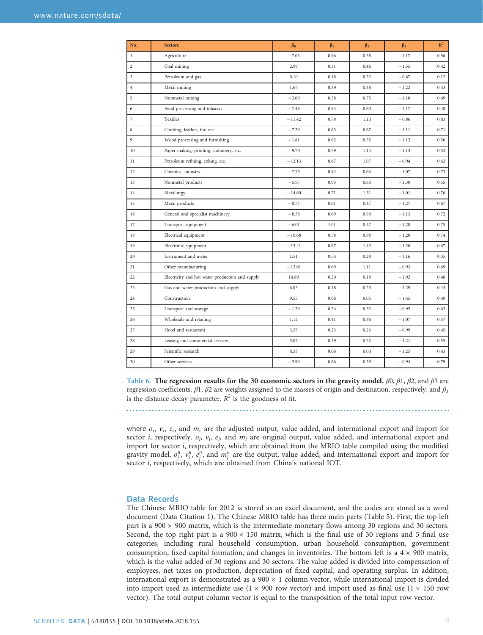<span id="page-8-0"></span>

| No.            | <b>Sectors</b>                                  | $\beta_0$ | $\beta_1$ | $\beta_2$ | $\beta_3$ | $R^2$ |
|----------------|-------------------------------------------------|-----------|-----------|-----------|-----------|-------|
| $\mathbf{1}$   | Agriculture                                     | $-7.03$   | 0.96      | 0.58      | $-1.17$   | 0.56  |
| $\sqrt{2}$     | Coal mining                                     | 2.99      | 0.31      | 0.46      | $-1.55$   | 0.42  |
| $\mathfrak{Z}$ | Petroleum and gas                               | 0.10      | 0.18      | 0.22      | $-0.67$   | 0.12  |
| $\overline{4}$ | Metal mining                                    | 1.67      | 0.39      | 0.48      | $-1.22$   | 0.43  |
| 5              | Nonmetal mining                                 | $-3.09$   | 0.38      | 0.75      | $-1.10$   | 0.49  |
| 6              | Food processing and tobacco                     | $-7.48$   | 0.94      | 0.60      | $-1.17$   | 0.48  |
| $\overline{7}$ | Textiles                                        | $-11.42$  | 0.78      | 1.10      | $-0.86$   | 0.83  |
| $\,$ 8 $\,$    | Clothing, leather, fur, etc.                    | $-7.29$   | 0.83      | 0.67      | $-1.11$   | 0.71  |
| 9              | Wood processing and furnishing                  | $-1.81$   | 0.62      | 0.55      | $-1.12$   | 0.56  |
| 10             | Paper making, printing, stationery, etc.        | $-9.70$   | 0.59      | 1.14      | $-1.13$   | 0.52  |
| 11             | Petroleum refining, coking, etc.                | $-12.13$  | 0.67      | 1.07      | $-0.94$   | 0.62  |
| 12             | Chemical industry                               | $-7.75$   | 0.94      | 0.66      | $-1.07$   | 0.73  |
| 13             | Nonmetal products                               | $-5.97$   | 0.95      | 0.60      | $-1.30$   | 0.55  |
| 14             | Metallurgy                                      | $-14.60$  | 0.71      | 1.31      | $-1.01$   | 0.76  |
| 15             | Metal products                                  | $-0.77$   | 0.61      | 0.47      | $-1.27$   | 0.67  |
| 16             | General and specialist machinery                | $-8.58$   | 0.69      | 0.90      | $-1.13$   | 0.72  |
| 17             | Transport equipment                             | $-6.01$   | 1.01      | 0.47      | $-1.28$   | 0.75  |
| 18             | Electrical equipment                            | $-10.68$  | 0.78      | 0.98      | $-1.20$   | 0.74  |
| 19             | Electronic equipment                            | $-15.41$  | 0.67      | 1.43      | $-1.20$   | 0.67  |
| 20             | Instrument and meter                            | 1.51      | 0.54      | 0.28      | $-1.16$   | 0.55  |
| 21             | Other manufacturing                             | $-12.01$  | 0.69      | 1.11      | $-0.93$   | 0.69  |
| 22             | Electricity and hot water production and supply | 10.89     | 0.20      | 0.18      | $-1.92$   | 0.40  |
| 23             | Gas and water production and supply             | 6.05      | 0.18      | 0.25      | $-1.29$   | 0.43  |
| 24             | Construction                                    | 9.55      | 0.06      | 0.05      | $-1.45$   | 0.49  |
| 25             | Transport and storage                           | $-1.29$   | 0.54      | 0.52      | $-0.95$   | 0.63  |
| 26             | Wholesale and retailing                         | 1.12      | 0.41      | 0.36      | $-1.07$   | 0.57  |
| 27             | Hotel and restaurant                            | 3.37      | 0.23      | 0.26      | $-0.99$   | 0.45  |
| 28             | Leasing and commercial services                 | 5.02      | 0.39      | 0.22      | $-1.21$   | 0.55  |
| 29             | Scientific research                             | 8.33      | 0.06      | 0.00      | $-1.25$   | 0.43  |
| 30             | Other services                                  | $-3.90$   | 0.66      | 0.59      | $-0.94$   | 0.79  |

Table 6. The regression results for the 30 economic sectors in the gravity model.  $\beta$ 0,  $\beta$ 1,  $\beta$ 2, and  $\beta$ 3 are regression coefficients.  $β1$ ,  $β2$  are weights assigned to the masses of origin and destination, respectively, and  $β_3$ is the distance decay parameter.  $R^2$  is the goodness of fit.

where  $\overline{\overline{v_i}}$ ,  $\overline{v_i}$ , and  $\overline{m_i}$  are the adjusted output, value added, and international export and import for sector *i*, respectively.  $o_i$ ,  $v_i$ ,  $e_i$ , and  $m_i$  are original output, value added, and international export and import for sector i, respectively, which are obtained from the MRIO table compiled using the modified gravity model.  $o_j^n$ ,  $v_j^n$ ,  $e_j^n$ , and  $m_j^n$  are the output, value added, and international export and import for sector i, respectively, which are obtained from China's national IOT.

#### Data Records

The Chinese MRIO table for 2012 is stored as an excel document, and the codes are stored as a word document ([Data Citation 1\)](#page-11-0). The Chinese MRIO table has three main parts [\(Table 5\)](#page-7-0). First, the top left part is a  $900 \times 900$  matrix, which is the intermediate monetary flows among 30 regions and 30 sectors. Second, the top right part is a  $900 \times 150$  matrix, which is the final use of 30 regions and 5 final use categories, including rural household consumption, urban household consumption, government consumption, fixed capital formation, and changes in inventories. The bottom left is a  $4 \times 900$  matrix, which is the value added of 30 regions and 30 sectors. The value added is divided into compensation of employees, net taxes on production, depreciation of fixed capital, and operating surplus. In addition, international export is demonstrated as a  $900 \times 1$  column vector, while international import is divided into import used as intermediate use  $(1 \times 900$  row vector) and import used as final use  $(1 \times 150$  row vector). The total output column vector is equal to the transposition of the total input row vector.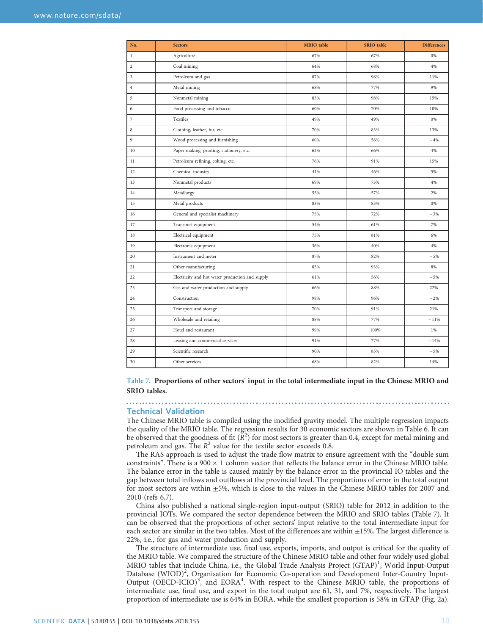| No.            | <b>Sectors</b>                                  | <b>MRIO</b> table | SRIO table | <b>Differences</b> |
|----------------|-------------------------------------------------|-------------------|------------|--------------------|
| $\,1$          | Agriculture                                     | 67%               | 67%        | 0%                 |
| $\overline{c}$ | Coal mining                                     | 64%               | 68%        | 4%                 |
| 3              | Petroleum and gas                               | 87%               | 98%        | 11%                |
| $\overline{4}$ | Metal mining                                    | 68%               | 77%        | 9%                 |
| 5              | Nonmetal mining                                 | 83%               | 98%        | 15%                |
| 6              | Food processing and tobacco                     | 60%               | 70%        | 10%                |
| $\overline{7}$ | Textiles                                        | 49%               | 49%        | 0%                 |
| 8              | Clothing, leather, fur, etc.                    | 70%               | 83%        | 13%                |
| 9              | Wood processing and furnishing                  | 60%               | 56%        | $-4%$              |
| 10             | Paper making, printing, stationery, etc.        | 62%               | 66%        | 4%                 |
| 11             | Petroleum refining, coking, etc.                | 76%               | 91%        | 15%                |
| 12             | Chemical industry                               | 41%               | 46%        | 5%                 |
| 13             | Nonmetal products                               | 69%               | 73%        | 4%                 |
| 14             | Metallurgy                                      | 55%               | 57%        | 2%                 |
| 15             | Metal products                                  | 83%               | 83%        | 0%                 |
| 16             | General and specialist machinery                | 75%               | 72%        | $-3%$              |
| 17             | Transport equipment                             | 54%               | 61%        | 7%                 |
| 18             | Electrical equipment                            | 75%               | 81%        | 6%                 |
| 19             | Electronic equipment                            | 36%               | 40%        | 4%                 |
| 20             | Instrument and meter                            | 87%               | 82%        | $-5%$              |
| 21             | Other manufacturing                             | 85%               | 93%        | 8%                 |
| 22             | Electricity and hot water production and supply | 61%               | 56%        | $-5%$              |
| 23             | Gas and water production and supply             | 66%               | 88%        | 22%                |
| 24             | Construction                                    | 98%               | 96%        | $-2%$              |
| 25             | Transport and storage                           | 70%               | 91%        | 21%                |
| 26             | Wholesale and retailing                         | 88%               | 77%        | $-11%$             |
| 27             | Hotel and restaurant                            | 99%               | 100%       | 1%                 |
| 28             | Leasing and commercial services                 | 91%               | 77%        | $-14%$             |
| 29             | Scientific research                             | 90%               | 85%        | $-5%$              |
| 30             | Other services                                  | 68%               | 82%        | 14%                |

Table 7. Proportions of other sectors' input in the total intermediate input in the Chinese MRIO and SRIO tables.

### Technical Validation

. . . . . . . . . . .

The Chinese MRIO table is compiled using the modified gravity model. The multiple regression impacts the quality of the MRIO table. The regression results for 30 economic sectors are shown in [Table 6](#page-8-0). It can be observed that the goodness of fit  $(R^2)$  for most sectors is greater than 0.4, except for metal mining and petroleum and gas. The  $R^2$  value for the textile sector exceeds 0.8.

The RAS approach is used to adjust the trade flow matrix to ensure agreement with the "double sum constraints". There is a  $900 \times 1$  column vector that reflects the balance error in the Chinese MRIO table. The balance error in the table is caused mainly by the balance error in the provincial IO tables and the gap between total inflows and outflows at the provincial level. The proportions of error in the total output for most sectors are within ±5%, which is close to the values in the Chinese MRIO tables for 2007 and 2010 (refs [6,7\)](#page-10-0).

China also published a national single-region input-output (SRIO) table for 2012 in addition to the provincial IOTs. We compared the sector dependence between the MRIO and SRIO tables (Table 7). It can be observed that the proportions of other sectors' input relative to the total intermediate input for each sector are similar in the two tables. Most of the differences are within ±15%. The largest difference is 22%, i.e., for gas and water production and supply.

The structure of intermediate use, final use, exports, imports, and output is critical for the quality of the MRIO table. We compared the structure of the Chinese MRIO table and other four widely used global MRIO tables that include China, i.e., the Global Trade Analysis Project (GTAP)<sup>[1](#page-10-0)</sup>, World Input-Output Database (WIOD)<sup>[2](#page-10-0)</sup>, Organisation for Economic Co-operation and Development Inter-Country Input-Output (OECD-ICIO)<sup>3</sup>, and EORA<sup>[4](#page-10-0)</sup>. With respect to the Chinese MRIO table, the proportions of intermediate use, final use, and export in the total output are 61, 31, and 7%, respectively. The largest proportion of intermediate use is 64% in EORA, while the smallest proportion is 58% in GTAP [\(Fig. 2a](#page-10-0)).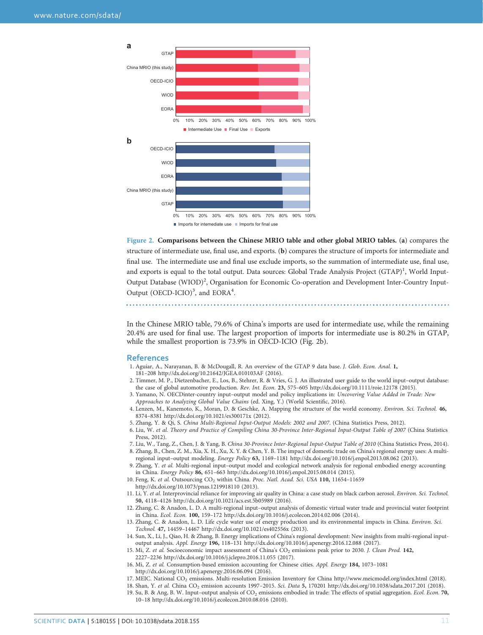<span id="page-10-0"></span>

Figure 2. Comparisons between the Chinese MRIO table and other global MRIO tables. (a) compares the structure of intermediate use, final use, and exports. (b) compares the structure of imports for intermediate and final use. The intermediate use and final use exclude imports, so the summation of intermediate use, final use, and exports is equal to the total output. Data sources: Global Trade Analysis Project (GTAP)<sup>1</sup>, World Input-Output Database (WIOD)<sup>2</sup>, Organisation for Economic Co-operation and Development Inter-Country Input-Output (OECD-ICIO)<sup>3</sup>, and EORA<sup>4</sup>.

In the Chinese MRIO table, 79.6% of China's imports are used for intermediate use, while the remaining 20.4% are used for final use. The largest proportion of imports for intermediate use is 80.2% in GTAP, while the smallest proportion is 73.9% in OECD-ICIO (Fig. 2b).

#### **References**

- 1. Aguiar, A., Narayanan, B. & McDougall, R. An overview of the GTAP 9 data base. J. Glob. Econ. Anal. 1, 181–208<http://dx.doi.org/10.21642/JGEA.010103AF> (2016).
- 2. Timmer, M. P., Dietzenbacher, E., Los, B., Stehrer, R. & Vries, G. J. An illustrated user guide to the world input–output database: the case of global automotive production. Rev. Int. Econ. 23, 575–605<http://dx.doi.org/10.1111/roie.12178> (2015).
- 3. Yamano, N. OECDinter-country input–output model and policy implications in: Uncovering Value Added in Trade: New Approaches to Analyzing Global Value Chains (ed. Xing, Y.) (World Scientific, 2016).
- 4. Lenzen, M., Kanemoto, K., Moran, D. & Geschke, A. Mapping the structure of the world economy. Environ. Sci. Technol. 46, 8374–8381<http://dx.doi.org/10.1021/es300171x> (2012).
- 5. Zhang, Y. & Qi, S. China Multi-Regional Input-Output Models: 2002 and 2007. (China Statistics Press, 2012).
- 6. Liu, W. et al. Theory and Practice of Compiling China 30-Province Inter-Regional Input-Output Table of 2007 (China Statistics Press, 2012).
- 7. Liu, W., Tang, Z., Chen, J. & Yang, B. China 30-Province Inter-Regional Input-Output Table of 2010 (China Statistics Press, 2014). 8. Zhang, B., Chen, Z. M., Xia, X. H., Xu, X. Y. & Chen, Y. B. The impact of domestic trade on China's regional energy uses: A multiregional input–output modeling. Energy Policy 63, 1169–1181<http://dx.doi.org/10.1016/j.enpol.2013.08.062> (2013).
- 9. Zhang, Y. et al. Multi-regional input–output model and ecological network analysis for regional embodied energy accounting in China. Energy Policy 86, 651–663<http://dx.doi.org/10.1016/j.enpol.2015.08.014> (2015).
- 10. Feng, K. et al. Outsourcing CO<sub>2</sub> within China. Proc. Natl. Acad. Sci. USA 110, 11654-11659 <http://dx.doi.org/10.1073/pnas.1219918110> (2013).
- 11. Li, Y. et al. Interprovincial reliance for improving air quality in China: a case study on black carbon aerosol. Environ. Sci. Technol. 50, 4118–4126<http://dx.doi.org/10.1021/acs.est.5b05989> (2016).
- 12. Zhang, C. & Anadon, L. D. A multi-regional input–output analysis of domestic virtual water trade and provincial water footprint in China. Ecol. Econ. 100, 159–172<http://dx.doi.org/10.1016/j.ecolecon.2014.02.006> (2014).
- 13. Zhang, C. & Anadon, L. D. Life cycle water use of energy production and its environmental impacts in China. Environ. Sci. Technol. 47, 14459–14467<http://dx.doi.org/10.1021/es402556x> (2013).
- 14. Sun, X., Li, J., Qiao, H. & Zhang, B. Energy implications of China's regional development: New insights from multi-regional inputoutput analysis. Appl. Energy 196, 118–131<http://dx.doi.org/10.1016/j.apenergy.2016.12.088> (2017).
- 15. Mi, Z. et al. Socioeconomic impact assessment of China's CO<sub>2</sub> emissions peak prior to 2030. J. Clean Prod. 142,
- 2227–2236<http://dx.doi.org/10.1016/j.jclepro.2016.11.055> (2017).
- 16. Mi, Z. et al. Consumption-based emission accounting for Chinese cities. Appl. Energy 184, 1073–1081 <http://dx.doi.org/10.1016/j.apenergy.2016.06.094> (2016).
- 17. MEIC. National CO<sub>2</sub> emissions. Multi-resolution Emission Inventory for China<http://www.meicmodel.org/index.html> (2018).
	- 18. Shan, Y. et al. China CO<sub>2</sub> emission accounts 1997-2015. Sci. Data 5, 170201<http://dx.doi.org/10.1038/sdata.2017.201> (2018).
- 19. Su, B. & Ang, B. W. Input-output analysis of CO<sub>2</sub> emissions embodied in trade: The effects of spatial aggregation. Ecol. Econ. 70, 10–18<http://dx.doi.org/10.1016/j.ecolecon.2010.08.016> (2010).